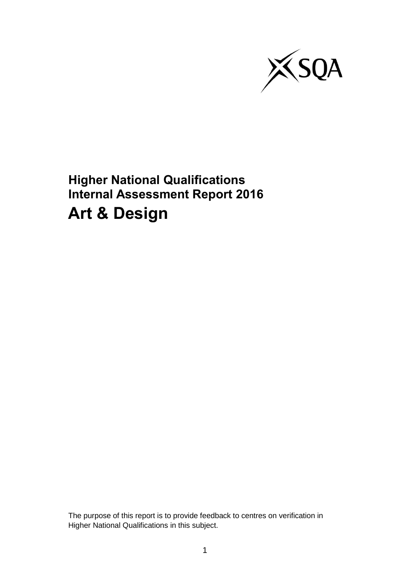

**Higher National Qualifications Internal Assessment Report 2016 Art & Design**

The purpose of this report is to provide feedback to centres on verification in Higher National Qualifications in this subject.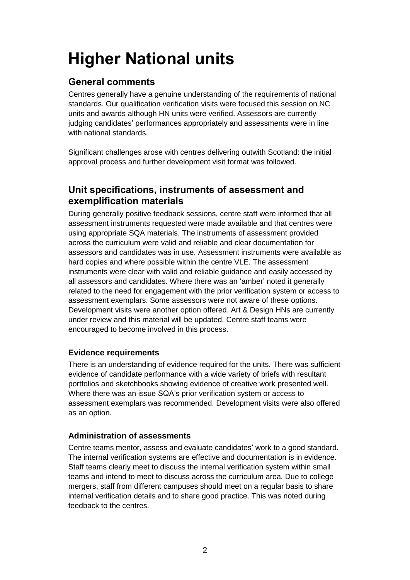# **Higher National units**

# **General comments**

Centres generally have a genuine understanding of the requirements of national standards. Our qualification verification visits were focused this session on NC units and awards although HN units were verified. Assessors are currently judging candidates' performances appropriately and assessments were in line with national standards.

Significant challenges arose with centres delivering outwith Scotland: the initial approval process and further development visit format was followed.

## **Unit specifications, instruments of assessment and exemplification materials**

During generally positive feedback sessions, centre staff were informed that all assessment instruments requested were made available and that centres were using appropriate SQA materials. The instruments of assessment provided across the curriculum were valid and reliable and clear documentation for assessors and candidates was in use. Assessment instruments were available as hard copies and where possible within the centre VLE. The assessment instruments were clear with valid and reliable guidance and easily accessed by all assessors and candidates. Where there was an 'amber' noted it generally related to the need for engagement with the prior verification system or access to assessment exemplars. Some assessors were not aware of these options. Development visits were another option offered. Art & Design HNs are currently under review and this material will be updated. Centre staff teams were encouraged to become involved in this process.

## **Evidence requirements**

There is an understanding of evidence required for the units. There was sufficient evidence of candidate performance with a wide variety of briefs with resultant portfolios and sketchbooks showing evidence of creative work presented well. Where there was an issue SQA's prior verification system or access to assessment exemplars was recommended. Development visits were also offered as an option.

## **Administration of assessments**

Centre teams mentor, assess and evaluate candidates' work to a good standard. The internal verification systems are effective and documentation is in evidence. Staff teams clearly meet to discuss the internal verification system within small teams and intend to meet to discuss across the curriculum area. Due to college mergers, staff from different campuses should meet on a regular basis to share internal verification details and to share good practice. This was noted during feedback to the centres.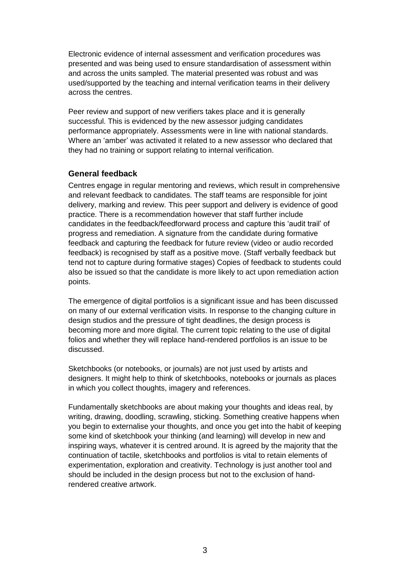Electronic evidence of internal assessment and verification procedures was presented and was being used to ensure standardisation of assessment within and across the units sampled. The material presented was robust and was used/supported by the teaching and internal verification teams in their delivery across the centres.

Peer review and support of new verifiers takes place and it is generally successful. This is evidenced by the new assessor judging candidates performance appropriately. Assessments were in line with national standards. Where an 'amber' was activated it related to a new assessor who declared that they had no training or support relating to internal verification.

### **General feedback**

Centres engage in regular mentoring and reviews, which result in comprehensive and relevant feedback to candidates. The staff teams are responsible for joint delivery, marking and review. This peer support and delivery is evidence of good practice. There is a recommendation however that staff further include candidates in the feedback/feedforward process and capture this 'audit trail' of progress and remediation. A signature from the candidate during formative feedback and capturing the feedback for future review (video or audio recorded feedback) is recognised by staff as a positive move. (Staff verbally feedback but tend not to capture during formative stages) Copies of feedback to students could also be issued so that the candidate is more likely to act upon remediation action points.

The emergence of digital portfolios is a significant issue and has been discussed on many of our external verification visits. In response to the changing culture in design studios and the pressure of tight deadlines, the design process is becoming more and more digital. The current topic relating to the use of digital folios and whether they will replace hand-rendered portfolios is an issue to be discussed.

Sketchbooks (or notebooks, or journals) are not just used by artists and designers. It might help to think of sketchbooks, notebooks or journals as places in which you collect thoughts, imagery and references.

Fundamentally sketchbooks are about making your thoughts and ideas real, by writing, drawing, doodling, scrawling, sticking. Something creative happens when you begin to externalise your thoughts, and once you get into the habit of keeping some kind of sketchbook your thinking (and learning) will develop in new and inspiring ways, whatever it is centred around. It is agreed by the majority that the continuation of tactile, sketchbooks and portfolios is vital to retain elements of experimentation, exploration and creativity. Technology is just another tool and should be included in the design process but not to the exclusion of handrendered creative artwork.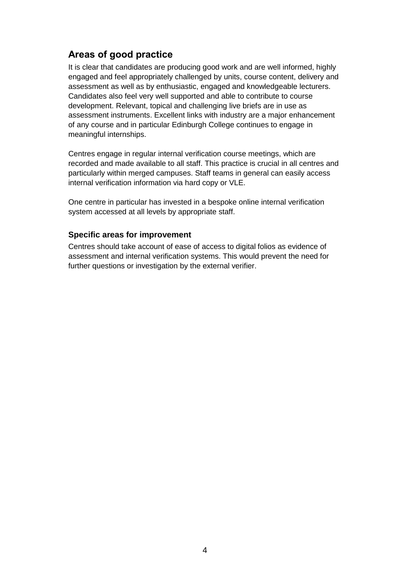## **Areas of good practice**

It is clear that candidates are producing good work and are well informed, highly engaged and feel appropriately challenged by units, course content, delivery and assessment as well as by enthusiastic, engaged and knowledgeable lecturers. Candidates also feel very well supported and able to contribute to course development. Relevant, topical and challenging live briefs are in use as assessment instruments. Excellent links with industry are a major enhancement of any course and in particular Edinburgh College continues to engage in meaningful internships.

Centres engage in regular internal verification course meetings, which are recorded and made available to all staff. This practice is crucial in all centres and particularly within merged campuses. Staff teams in general can easily access internal verification information via hard copy or VLE.

One centre in particular has invested in a bespoke online internal verification system accessed at all levels by appropriate staff.

### **Specific areas for improvement**

Centres should take account of ease of access to digital folios as evidence of assessment and internal verification systems. This would prevent the need for further questions or investigation by the external verifier.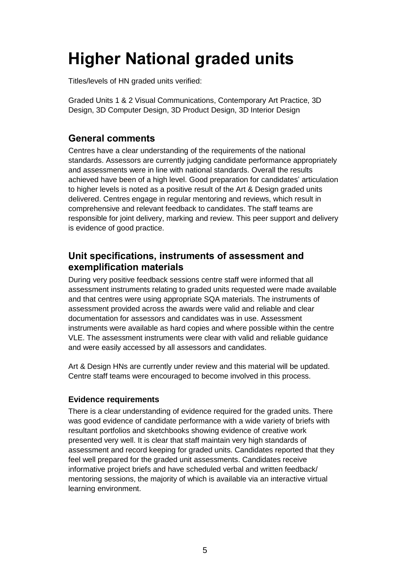# **Higher National graded units**

Titles/levels of HN graded units verified:

Graded Units 1 & 2 Visual Communications, Contemporary Art Practice, 3D Design, 3D Computer Design, 3D Product Design, 3D Interior Design

## **General comments**

Centres have a clear understanding of the requirements of the national standards. Assessors are currently judging candidate performance appropriately and assessments were in line with national standards. Overall the results achieved have been of a high level. Good preparation for candidates' articulation to higher levels is noted as a positive result of the Art & Design graded units delivered. Centres engage in regular mentoring and reviews, which result in comprehensive and relevant feedback to candidates. The staff teams are responsible for joint delivery, marking and review. This peer support and delivery is evidence of good practice.

## **Unit specifications, instruments of assessment and exemplification materials**

During very positive feedback sessions centre staff were informed that all assessment instruments relating to graded units requested were made available and that centres were using appropriate SQA materials. The instruments of assessment provided across the awards were valid and reliable and clear documentation for assessors and candidates was in use. Assessment instruments were available as hard copies and where possible within the centre VLE. The assessment instruments were clear with valid and reliable guidance and were easily accessed by all assessors and candidates.

Art & Design HNs are currently under review and this material will be updated. Centre staff teams were encouraged to become involved in this process.

## **Evidence requirements**

There is a clear understanding of evidence required for the graded units. There was good evidence of candidate performance with a wide variety of briefs with resultant portfolios and sketchbooks showing evidence of creative work presented very well. It is clear that staff maintain very high standards of assessment and record keeping for graded units. Candidates reported that they feel well prepared for the graded unit assessments. Candidates receive informative project briefs and have scheduled verbal and written feedback/ mentoring sessions, the majority of which is available via an interactive virtual learning environment.